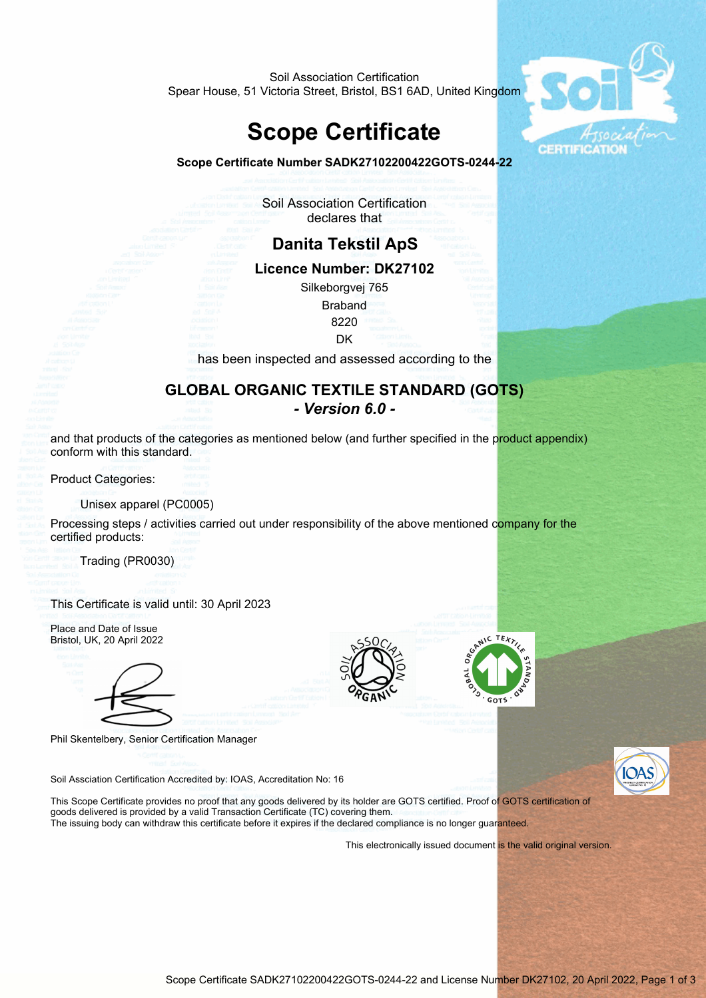Soil Association Certification Spear House, 51 Victoria Street, Bristol, BS1 6AD, United Kingdom

# **Scope Certificate**





Soil Association Certification declares that

## **Danita Tekstil ApS Licence Number: DK27102** Silkeborgvej 765 Braband 8220 **DK** has been inspected and assessed according to the **GLOBAL ORGANIC TEXTILE STANDARD (GOTS)**  *- Version 6.0 -*

and that products of the categories as mentioned below (and further specified in the product appendix) conform with this standard.

Product Categories:

Unisex apparel (PC0005)

Processing steps / activities carried out under responsibility of the above mentioned company for the certified products:

Trading (PR0030)

This Certificate is valid until: 30 April 2023





Phil Skentelbery, Senior Certification Manager





Soil Assciation Certification Accredited by: IOAS, Accreditation No: 16

This Scope Certificate provides no proof that any goods delivered by its holder are GOTS certified. Proof of GOTS certification of goods delivered is provided by a valid Transaction Certificate (TC) covering them.

The issuing body can withdraw this certificate before it expires if the declared compliance is no longer guaranteed.

This electronically issued document is the valid original version.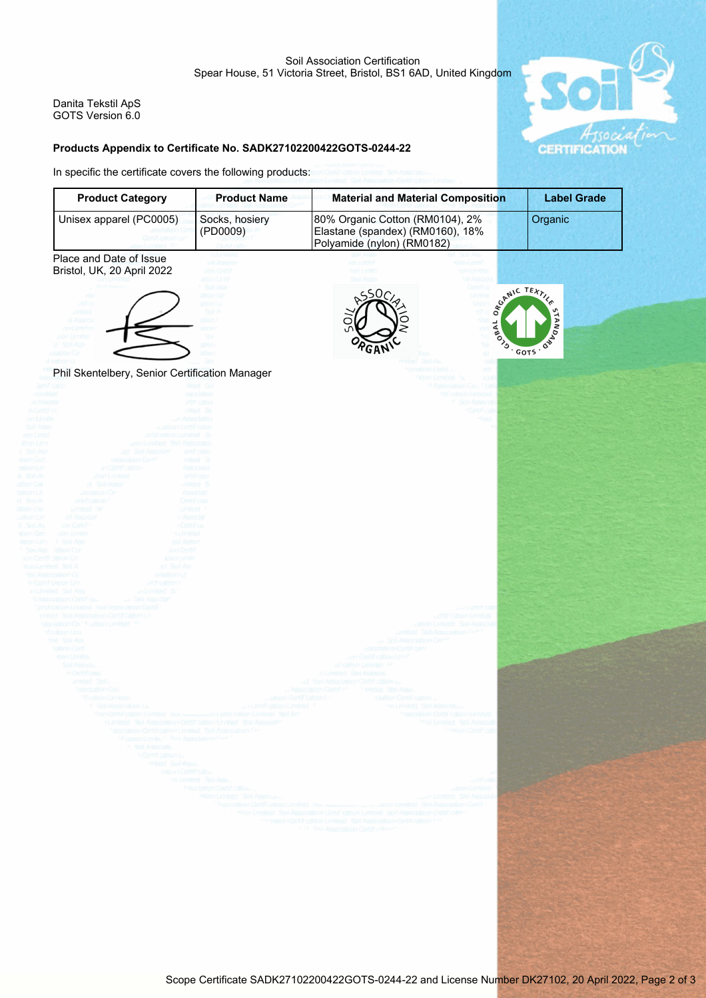**CERTIFICAT** 

Danita Tekstil ApS GOTS Version 6.0

### **Products Appendix to Certificate No. SADK27102200422GOTS-0244-22**

In specific the certificate covers the following products: